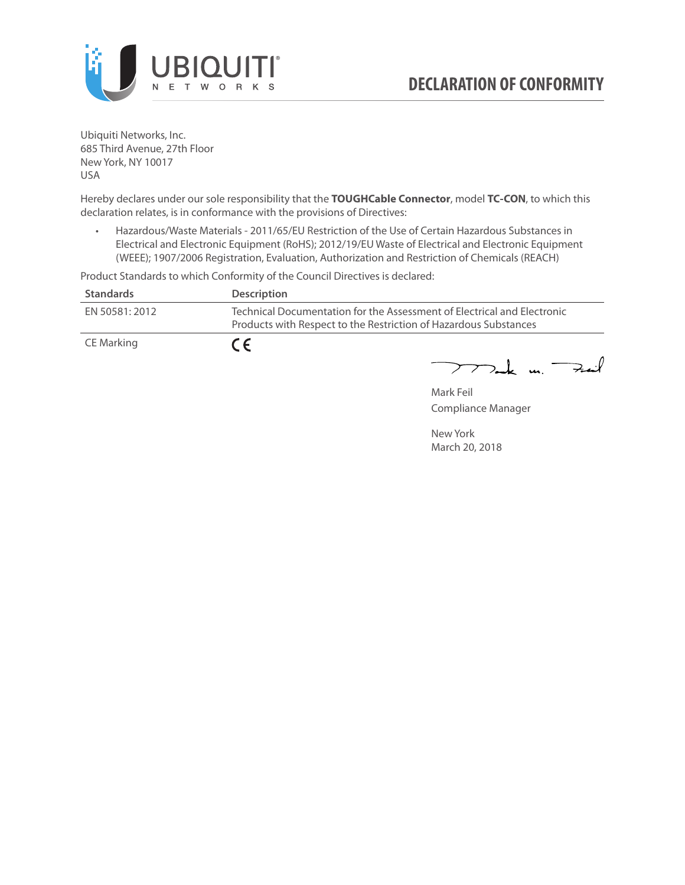

Ubiquiti Networks, Inc. 685 Third Avenue, 27th Floor New York, NY 10017 USA

Hereby declares under our sole responsibility that the **TOUGHCable Connector**, model **TC-CON**, to which this declaration relates, is in conformance with the provisions of Directives:

• Hazardous/Waste Materials - 2011/65/EU Restriction of the Use of Certain Hazardous Substances in Electrical and Electronic Equipment (RoHS); 2012/19/EU Waste of Electrical and Electronic Equipment (WEEE); 1907/2006 Registration, Evaluation, Authorization and Restriction of Chemicals (REACH)

Product Standards to which Conformity of the Council Directives is declared:

| <b>Standards</b> | <b>Description</b>                                                                                                                          |
|------------------|---------------------------------------------------------------------------------------------------------------------------------------------|
| EN 50581: 2012   | Technical Documentation for the Assessment of Electrical and Electronic<br>Products with Respect to the Restriction of Hazardous Substances |
| CE Marking       | $\epsilon$                                                                                                                                  |

 $772$ ak m. Fail

Mark Feil Compliance Manager

New York March 20, 2018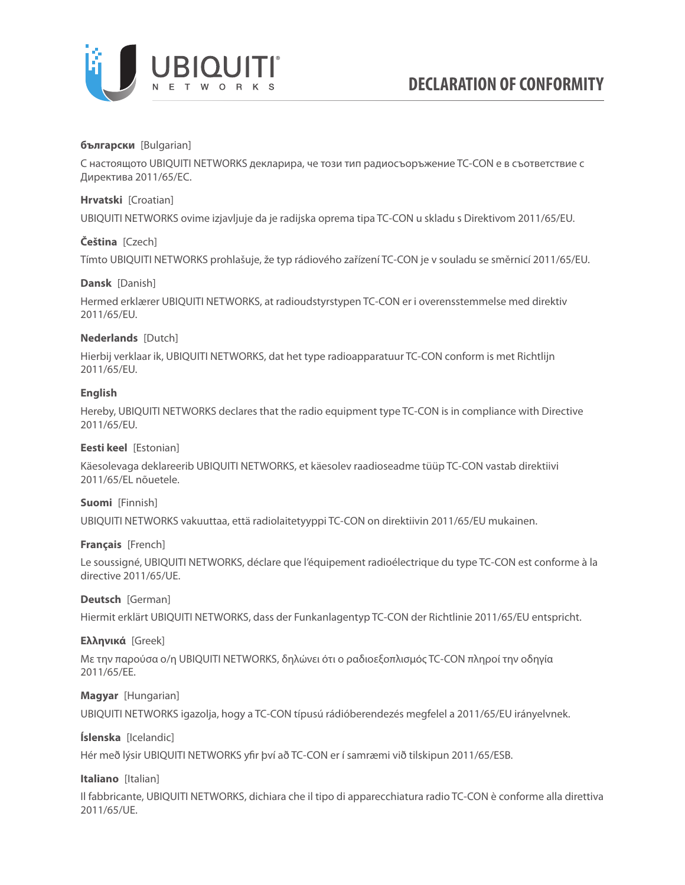

### **български** [Bulgarian]

С настоящото UBIQUITI NETWORKS декларира, че този тип радиосъоръжение TC-CON е в съответствие с Директива 2011/65/ЕС.

### **Hrvatski** [Croatian]

UBIQUITI NETWORKS ovime izjavljuje da je radijska oprema tipa TC-CON u skladu s Direktivom 2011/65/ЕU.

# **Čeština** [Czech]

Tímto UBIQUITI NETWORKS prohlašuje, že typ rádiového zařízení TC-CON je v souladu se směrnicí 2011/65/ЕU.

### **Dansk** [Danish]

Hermed erklærer UBIQUITI NETWORKS, at radioudstyrstypen TC-CON er i overensstemmelse med direktiv 2011/65/ЕU.

# **Nederlands** [Dutch]

Hierbij verklaar ik, UBIQUITI NETWORKS, dat het type radioapparatuur TC-CON conform is met Richtlijn 2011/65/ЕU.

# **English**

Hereby, UBIQUITI NETWORKS declares that the radio equipment type TC-CON is in compliance with Directive 2011/65/ЕU.

### **Eesti keel** [Estonian]

Käesolevaga deklareerib UBIQUITI NETWORKS, et käesolev raadioseadme tüüp TC-CON vastab direktiivi 2011/65/EL nõuetele.

### **Suomi** [Finnish]

UBIQUITI NETWORKS vakuuttaa, että radiolaitetyyppi TC-CON on direktiivin 2011/65/EU mukainen.

### **Français** [French]

Le soussigné, UBIQUITI NETWORKS, déclare que l'équipement radioélectrique du type TC-CON est conforme à la directive 2011/65/UE.

### **Deutsch** [German]

Hiermit erklärt UBIQUITI NETWORKS, dass der Funkanlagentyp TC-CON der Richtlinie 2011/65/EU entspricht.

### **Ελληνικά** [Greek]

Με την παρούσα ο/η UBIQUITI NETWORKS, δηλώνει ότι ο ραδιοεξοπλισμός TC-CON πληροί την οδηγία 2011/65/EE.

### **Magyar** [Hungarian]

UBIQUITI NETWORKS igazolja, hogy a TC-CON típusú rádióberendezés megfelel a 2011/65/EU irányelvnek.

# **Íslenska** [Icelandic]

Hér með lýsir UBIQUITI NETWORKS yfir því að TC-CON er í samræmi við tilskipun 2011/65/ESB.

# **Italiano** [Italian]

Il fabbricante, UBIQUITI NETWORKS, dichiara che il tipo di apparecchiatura radio TC-CON è conforme alla direttiva 2011/65/UE.